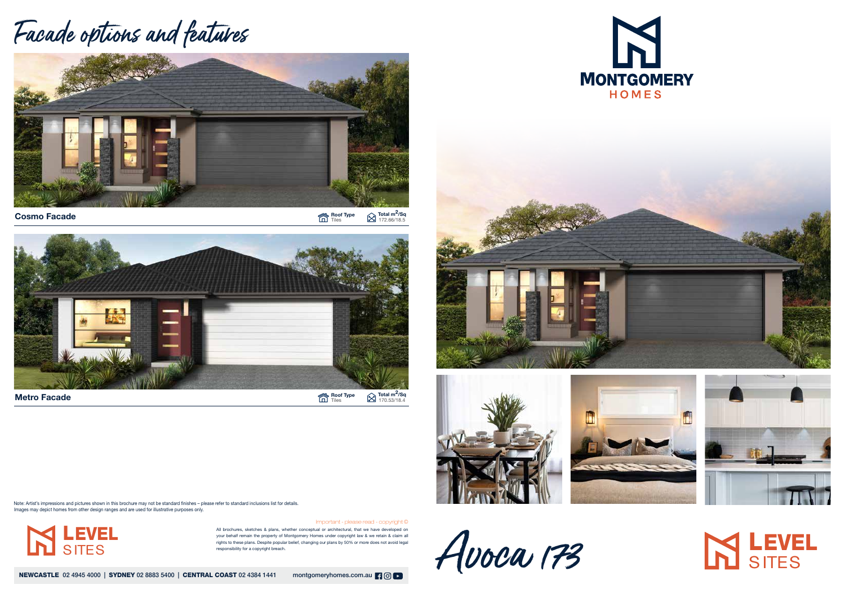Roof Type Tiles Total m<sup>2</sup>/Sq 172.66/18.5



Roof Type Tiles Total m<sup>2</sup>/Sq 170.53/18.4

RANGE ROOM

Avoca 173

All brochures, sketches & plans, whether conceptual or architectural, that we have developed on your behalf remain the property of Montgomery Homes under copyright law & we retain & claim all rights to these plans. Despite popular belief, changing our plans by 50% or more does not avoid legal responsibility for a copyright breach.

NEWCASTLE 02 4945 4000 | SYDNEY 02 8883 5400 | CENTRAL COAST 02 4384 1441 montgomeryhomes.com.au | 9 0 | 0

Important - please read - copyright ©









## **IN LEVEL**

## Facade options and features



Cosmo Facade

Metro Facade

Note: Artist's impressions and pictures shown in this brochure may not be standard finishes – please refer to standard inclusions list for details. Images may depict homes from other design ranges and are used for illustrative purposes only.